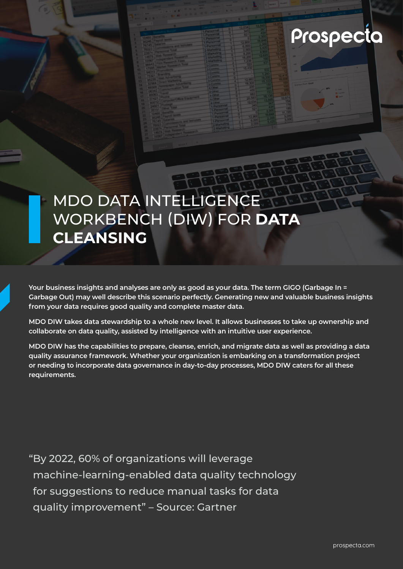

# MDO DATA INTELLIGENCE WORKBENCH (DIW) FOR **DATA CLEANSING**

**Your business insights and analyses are only as good as your data. The term GIGO (Garbage In = Garbage Out) may well describe this scenario perfectly. Generating new and valuable business insights from your data requires good quality and complete master data.** 

**MDO DIW takes data stewardship to a whole new level. It allows businesses to take up ownership and collaborate on data quality, assisted by intelligence with an intuitive user experience.** 

**MDO DIW has the capabilities to prepare, cleanse, enrich, and migrate data as well as providing a data quality assurance framework. Whether your organization is embarking on a transformation project or needing to incorporate data governance in day-to-day processes, MDO DIW caters for all these requirements.**

"By 2022, 60% of organizations will leverage machine-learning-enabled data quality technology for suggestions to reduce manual tasks for data quality improvement" – Source: Gartner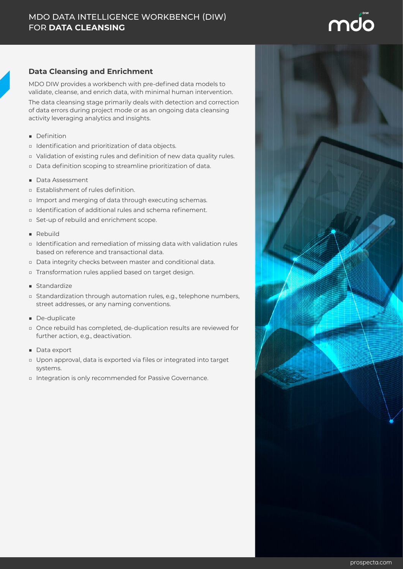

### **Data Cleansing and Enrichment**

MDO DIW provides a workbench with pre-defined data models to validate, cleanse, and enrich data, with minimal human intervention.

The data cleansing stage primarily deals with detection and correction of data errors during project mode or as an ongoing data cleansing activity leveraging analytics and insights.

- Definition
- □ Identification and prioritization of data objects.
- □ Validation of existing rules and definition of new data quality rules.
- □ Data definition scoping to streamline prioritization of data.
- Data Assessment
- □ Establishment of rules definition.
- □ Import and merging of data through executing schemas.
- □ Identification of additional rules and schema refinement.
- □ Set-up of rebuild and enrichment scope.
- Rebuild
- □ Identification and remediation of missing data with validation rules based on reference and transactional data.
- □ Data integrity checks between master and conditional data.
- □ Transformation rules applied based on target design.
- Standardize
- □ Standardization through automation rules, e.g., telephone numbers, street addresses, or any naming conventions.
- De-duplicate
- □ Once rebuild has completed, de-duplication results are reviewed for further action, e.g., deactivation.
- Data export
- □ Upon approval, data is exported via files or integrated into target systems.
- □ Integration is only recommended for Passive Governance.